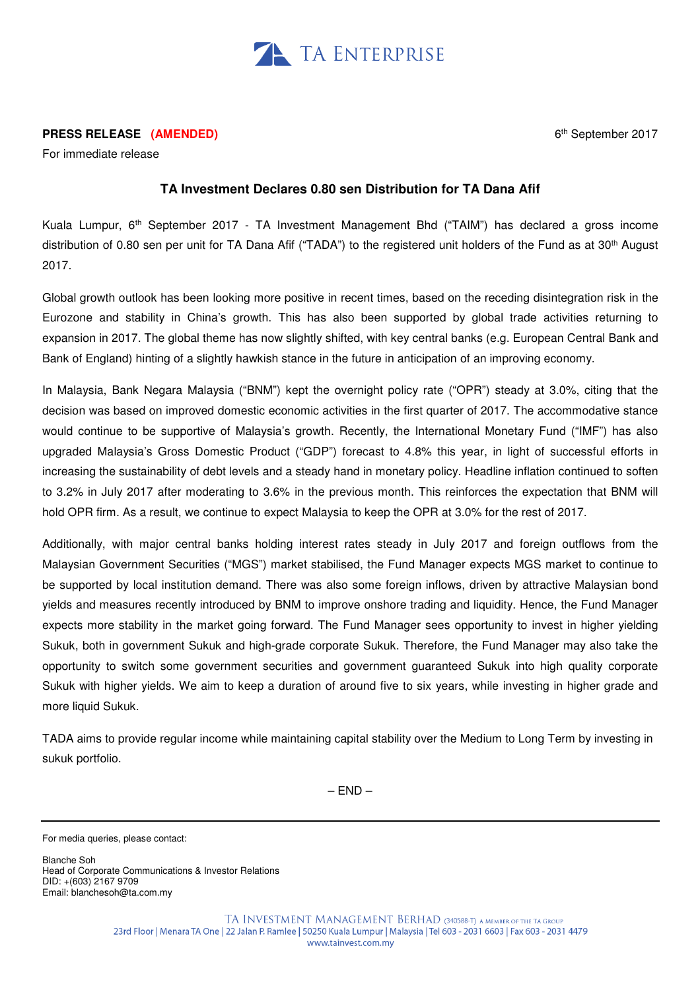

## **PRESS RELEASE (AMENDED)**

For immediate release

## **TA Investment Declares 0.80 sen Distribution for TA Dana Afif**

Kuala Lumpur, 6<sup>th</sup> September 2017 - TA Investment Management Bhd ("TAIM") has declared a gross income distribution of 0.80 sen per unit for TA Dana Afif ("TADA") to the registered unit holders of the Fund as at 30<sup>th</sup> August 2017.

Global growth outlook has been looking more positive in recent times, based on the receding disintegration risk in the Eurozone and stability in China's growth. This has also been supported by global trade activities returning to expansion in 2017. The global theme has now slightly shifted, with key central banks (e.g. European Central Bank and Bank of England) hinting of a slightly hawkish stance in the future in anticipation of an improving economy.

In Malaysia, Bank Negara Malaysia ("BNM") kept the overnight policy rate ("OPR") steady at 3.0%, citing that the decision was based on improved domestic economic activities in the first quarter of 2017. The accommodative stance would continue to be supportive of Malaysia's growth. Recently, the International Monetary Fund ("IMF") has also upgraded Malaysia's Gross Domestic Product ("GDP") forecast to 4.8% this year, in light of successful efforts in increasing the sustainability of debt levels and a steady hand in monetary policy. Headline inflation continued to soften to 3.2% in July 2017 after moderating to 3.6% in the previous month. This reinforces the expectation that BNM will hold OPR firm. As a result, we continue to expect Malaysia to keep the OPR at 3.0% for the rest of 2017.

Additionally, with major central banks holding interest rates steady in July 2017 and foreign outflows from the Malaysian Government Securities ("MGS") market stabilised, the Fund Manager expects MGS market to continue to be supported by local institution demand. There was also some foreign inflows, driven by attractive Malaysian bond yields and measures recently introduced by BNM to improve onshore trading and liquidity. Hence, the Fund Manager expects more stability in the market going forward. The Fund Manager sees opportunity to invest in higher yielding Sukuk, both in government Sukuk and high-grade corporate Sukuk. Therefore, the Fund Manager may also take the opportunity to switch some government securities and government guaranteed Sukuk into high quality corporate Sukuk with higher yields. We aim to keep a duration of around five to six years, while investing in higher grade and more liquid Sukuk.

TADA aims to provide regular income while maintaining capital stability over the Medium to Long Term by investing in sukuk portfolio.

 $-$  END  $-$ 

Blanche Soh Head of Corporate Communications & Investor Relations DID: +(603) 2167 9709 Email: blanchesoh@ta.com.my

For media queries, please contact: